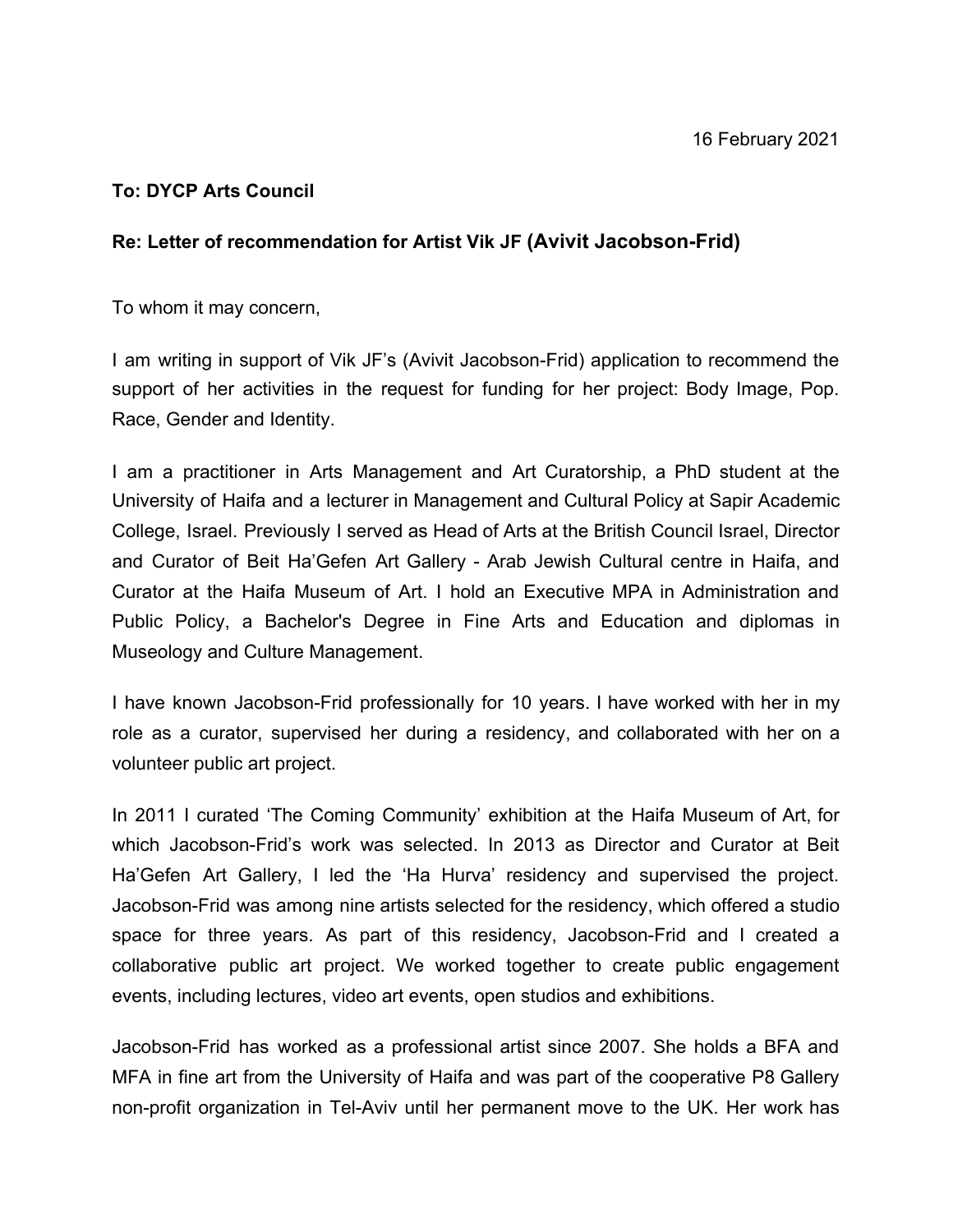## **To: DYCP Arts Council**

## **Re: Letter of recommendation for Artist Vik JF (Avivit Jacobson-Frid)**

To whom it may concern,

I am writing in support of Vik JF's (Avivit Jacobson-Frid) application to recommend the support of her activities in the request for funding for her project: Body Image, Pop. Race, Gender and Identity.

I am a practitioner in Arts Management and Art Curatorship, a PhD student at the University of Haifa and a lecturer in Management and Cultural Policy at Sapir Academic College, Israel. Previously I served as Head of Arts at the British Council Israel, Director and Curator of Beit Ha'Gefen Art Gallery - Arab Jewish Cultural centre in Haifa, and Curator at the Haifa Museum of Art. I hold an Executive MPA in Administration and Public Policy, a Bachelor's Degree in Fine Arts and Education and diplomas in Museology and Culture Management.

I have known Jacobson-Frid professionally for 10 years. I have worked with her in my role as a curator, supervised her during a residency, and collaborated with her on a volunteer public art project.

In 2011 I curated 'The Coming Community' exhibition at the Haifa Museum of Art, for which Jacobson-Frid's work was selected. In 2013 as Director and Curator at Beit Ha'Gefen Art Gallery, I led the 'Ha Hurva' residency and supervised the project. Jacobson-Frid was among nine artists selected for the residency, which offered a studio space for three years. As part of this residency, Jacobson-Frid and I created a collaborative public art project. We worked together to create public engagement events, including lectures, video art events, open studios and exhibitions.

Jacobson-Frid has worked as a professional artist since 2007. She holds a BFA and MFA in fine art from the University of Haifa and was part of the cooperative P8 Gallery non-profit organization in Tel-Aviv until her permanent move to the UK. Her work has